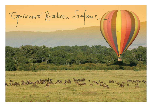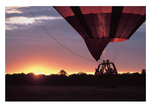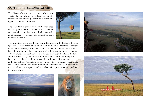## GOVERNORS' BALLOON SAFARIS

The Masai Mara is home to some of the most spectacular animals on earth. Elephant, giraffe, wildebeest and impala perform an exciting and hypnotic show for our visitors.

The Mara from a balloon is one of the most spectacular sights on earth. Our giant hot air balloons are maintained by highly trained pilots and offer guests the chance to see the whole scope of the Mara in perfect silence and peace.



The adventure begins just before dawn. Flames from the balloons' burners light the darkness as the crews inflate their craft. As the first rays of sunlight flicker across the skies, the inflated balloons begin to rise. Suspended in a basket beneath the rainbow coloured canopy, you're off for a game viewing adventure with an entirely different perspective. As you float over the plains, the forest and the Mara River, you hear the sounds from below drift clearly upwards; a lion's roar, elephants crashing through the bush, screeching baboons perched in the tips of trees. For an hour or so you drift wherever the air currents take you, then in the time honoured tradition of ballooning you toast your return to earth with a champagne breakfast, cooked before your eyes on the plains of the Masai Mara.